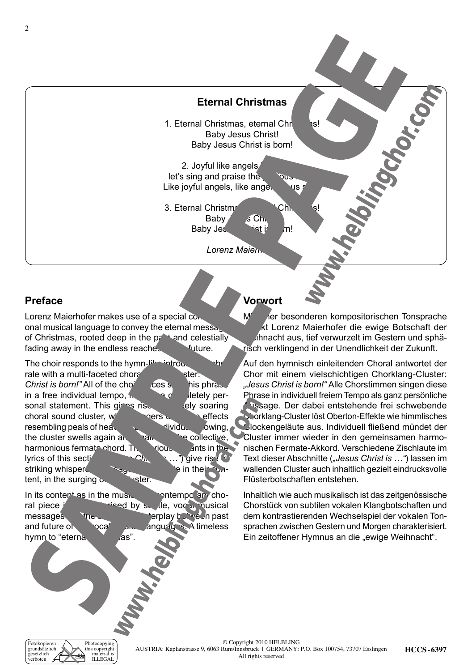### **Eternal Christmas**

1. Eternal Christmas, eternal Christ Baby Jesus Christ! Baby Jesus Christ is born!

2. Joyful like angels.  $let's sinq$  and praise the  $ig$   $ig$   $ig$ Like joyful angels, like angels  $\overline{\phantom{a}}$  us single us single us single us single us single us single us single us single us single us single us single us single use of the interaction of the interaction of the interact

3. Eternal Christmas Baby  $\begin{array}{cc} \text{Sch} \\ \text{S} \\ \text{Ch} \end{array}$ Baby Jesus Christ is born!

**Lorenz Maier** 

### **Preface**

Lorenz Maierhofer makes use of a special com onal musical language to convey the eternal message of Christmas, rooted deep in the  $p^*$  and celestially fading away in the endless reaches future.

The choir responds to the hymn-like introductory chorale with a multi-faceted choral sound cluster: *Christ is born!"* All of the choi voices single his phrase in a free individual tempo,  $\mathbf{r}$  a completely personal statement. This gives rise the searing choral sound cluster,  $w'$  are  $C$  over  $C$  affects resembling peals of heavenly belief dividually flowing, the cluster swells again  $a_1$ ,  $a_2$ ,  $a_3$  collective, harmonious fermata chord. The vious sint in the lyrics of this section of the various sites of  $\epsilon$ lyrics of this section (*"Jesus Christ is …"*) give rise to striking whispered messages tent, in the surging  $\mathbf{c}$ , the cluster.

In its content as in the music, the pontemporary choral piece is characterized by subtle, vocal musical messages the contrastive in past and future of the vocal music anguages. A timeless<br>hymn to "eterna mas" hymn to "eterna.

#### **Vorwort**

s Chr<br>Sist in

 $M$  ier besonderen kompositorischen Tonsprache kt Lorenz Maierhofer die ewige Botschaft der Weihnacht aus, tief verwurzelt im Gestern und sphärisch verklingend in der Unendlichkeit der Zukunft.

Auf den hymnisch einleitenden Choral antwortet der Chor mit einem vielschichtigen Chorklang-Cluster: *"Jesus Christ is born!"* Alle Chorstimmen singen diese Phrase in individuell freiem Tempo als ganz persönliche Aussage. Der dabei entstehende frei schwebende Chorklang-Cluster löst Oberton-Effekte wie himmlisches Glockengeläute aus. Individuell fließend mündet der Cluster immer wieder in den gemeinsamen harmonischen Fermate-Akkord. Verschiedene Zischlaute im Text dieser Abschnitte (*"Jesus Christ is …"*) lassen im wallenden Cluster auch inhaltlich gezielt eindrucksvolle Flüsterbotschaften entstehen.

Inhaltlich wie auch musikalisch ist das zeitgenössische Chorstück von subtilen vokalen Klangbotschaften und dem kontrastierenden Wechselspiel der vokalen Tonsprachen zwischen Gestern und Morgen charakterisiert. Ein zeitoffener Hymnus an die "ewige Weihnacht".

Fotokopieren grundsätzlich gesetzlich verboten Photocopying this copyright material is ILLEGAL

**HCCS-6397** © Copyright 2010 HELBLING Austria: Kaplanstrasse 9, 6063 Rum/Innsbruck | GERMANY: P.O. Box 100754, 73707 Esslingen All rights reserved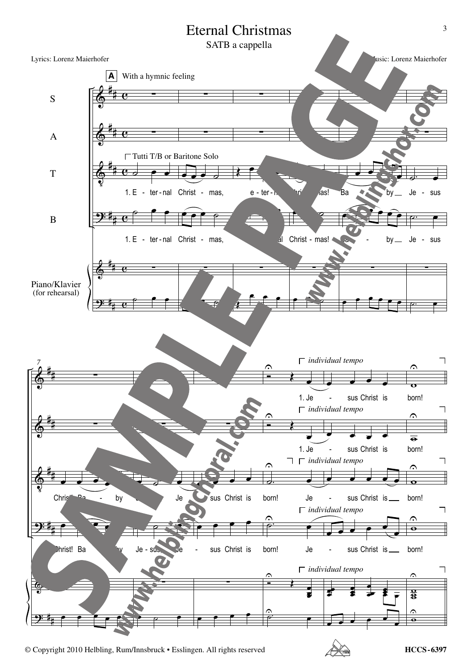

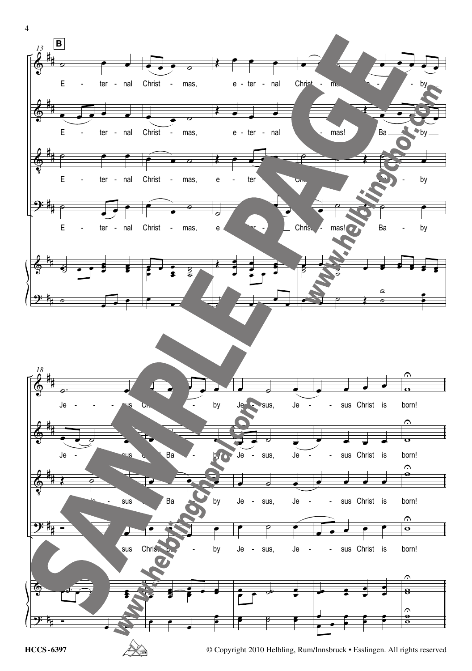



**HCCS-6397** © Copyright 2010 Helbling, Rum/Innsbruck • Esslingen. All rights reserved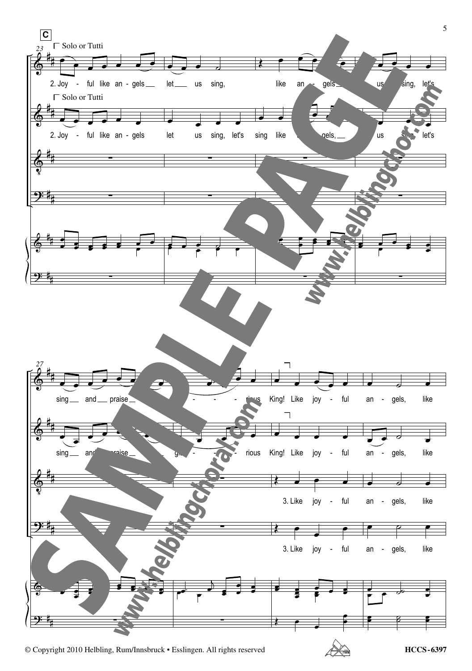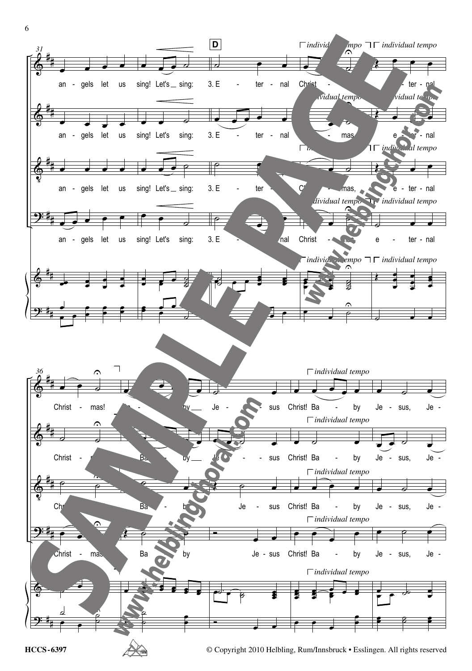